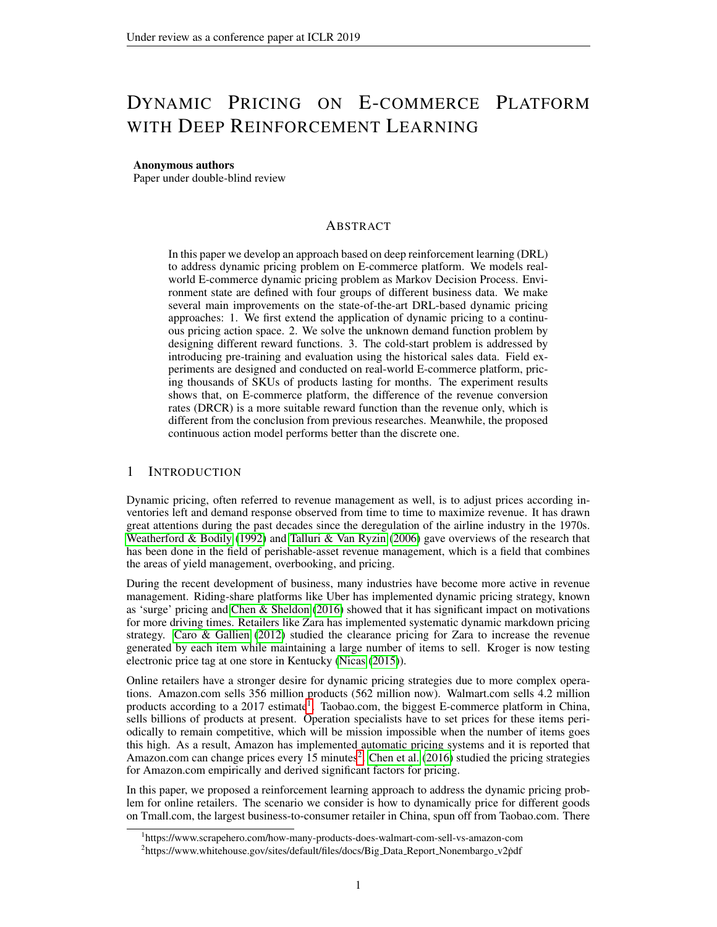# DYNAMIC PRICING ON E-COMMERCE PLATFORM WITH DEEP REINFORCEMENT LEARNING

### Anonymous authors

Paper under double-blind review

# ABSTRACT

In this paper we develop an approach based on deep reinforcement learning (DRL) to address dynamic pricing problem on E-commerce platform. We models realworld E-commerce dynamic pricing problem as Markov Decision Process. Environment state are defined with four groups of different business data. We make several main improvements on the state-of-the-art DRL-based dynamic pricing approaches: 1. We first extend the application of dynamic pricing to a continuous pricing action space. 2. We solve the unknown demand function problem by designing different reward functions. 3. The cold-start problem is addressed by introducing pre-training and evaluation using the historical sales data. Field experiments are designed and conducted on real-world E-commerce platform, pricing thousands of SKUs of products lasting for months. The experiment results shows that, on E-commerce platform, the difference of the revenue conversion rates (DRCR) is a more suitable reward function than the revenue only, which is different from the conclusion from previous researches. Meanwhile, the proposed continuous action model performs better than the discrete one.

## 1 INTRODUCTION

Dynamic pricing, often referred to revenue management as well, is to adjust prices according inventories left and demand response observed from time to time to maximize revenue. It has drawn great attentions during the past decades since the deregulation of the airline industry in the 1970s. [Weatherford & Bodily](#page-11-0) [\(1992\)](#page-11-0) and [Talluri & Van Ryzin](#page-11-1) [\(2006\)](#page-11-1) gave overviews of the research that has been done in the field of perishable-asset revenue management, which is a field that combines the areas of yield management, overbooking, and pricing.

During the recent development of business, many industries have become more active in revenue management. Riding-share platforms like Uber has implemented dynamic pricing strategy, known as 'surge' pricing and [Chen & Sheldon](#page-9-0) [\(2016\)](#page-9-0) showed that it has significant impact on motivations for more driving times. Retailers like Zara has implemented systematic dynamic markdown pricing strategy. [Caro & Gallien](#page-9-1) [\(2012\)](#page-9-1) studied the clearance pricing for Zara to increase the revenue generated by each item while maintaining a large number of items to sell. Kroger is now testing electronic price tag at one store in Kentucky [\(Nicas](#page-10-0) [\(2015\)](#page-10-0)).

Online retailers have a stronger desire for dynamic pricing strategies due to more complex operations. Amazon.com sells 356 million products (562 million now). Walmart.com sells 4.2 million products according to a 20[1](#page-0-0)7 estimate<sup>1</sup>. Taobao.com, the biggest E-commerce platform in China, sells billions of products at present. Operation specialists have to set prices for these items periodically to remain competitive, which will be mission impossible when the number of items goes this high. As a result, Amazon has implemented automatic pricing systems and it is reported that Amazon.com can change prices every 15 minutes<sup>[2](#page-0-1)</sup>. [Chen et al.](#page-9-2) [\(2016\)](#page-9-2) studied the pricing strategies for Amazon.com empirically and derived significant factors for pricing.

In this paper, we proposed a reinforcement learning approach to address the dynamic pricing problem for online retailers. The scenario we consider is how to dynamically price for different goods on Tmall.com, the largest business-to-consumer retailer in China, spun off from Taobao.com. There

<span id="page-0-1"></span><span id="page-0-0"></span><sup>1</sup> https://www.scrapehero.com/how-many-products-does-walmart-com-sell-vs-amazon-com <sup>2</sup>https://www.whitehouse.gov/sites/default/files/docs/Big\_Data\_Report\_Nonembargo\_v2pdf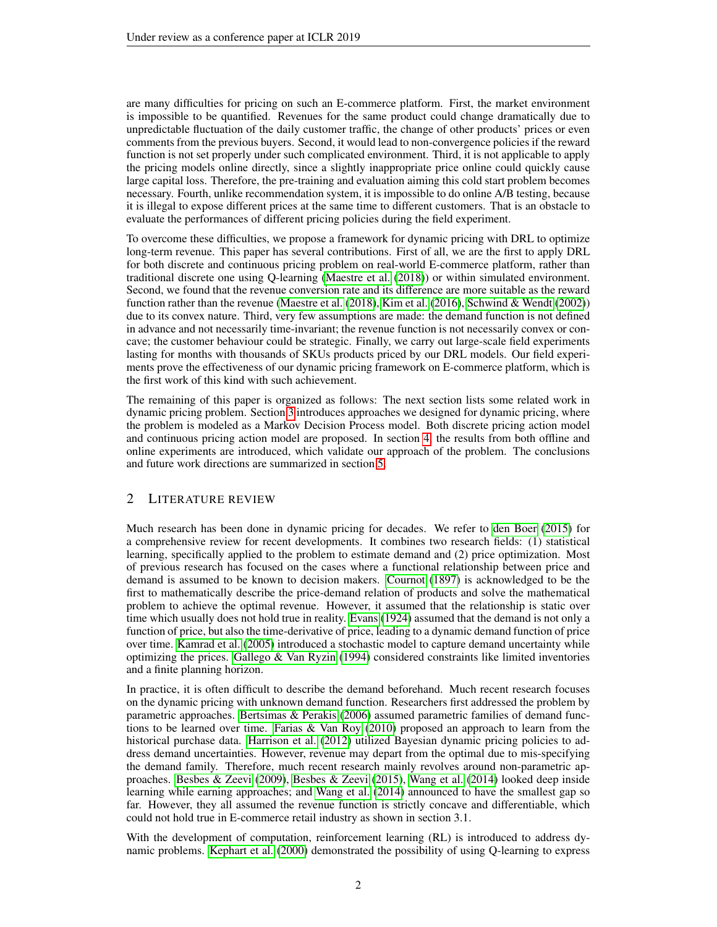are many difficulties for pricing on such an E-commerce platform. First, the market environment is impossible to be quantified. Revenues for the same product could change dramatically due to unpredictable fluctuation of the daily customer traffic, the change of other products' prices or even comments from the previous buyers. Second, it would lead to non-convergence policies if the reward function is not set properly under such complicated environment. Third, it is not applicable to apply the pricing models online directly, since a slightly inappropriate price online could quickly cause large capital loss. Therefore, the pre-training and evaluation aiming this cold start problem becomes necessary. Fourth, unlike recommendation system, it is impossible to do online A/B testing, because it is illegal to expose different prices at the same time to different customers. That is an obstacle to evaluate the performances of different pricing policies during the field experiment.

To overcome these difficulties, we propose a framework for dynamic pricing with DRL to optimize long-term revenue. This paper has several contributions. First of all, we are the first to apply DRL for both discrete and continuous pricing problem on real-world E-commerce platform, rather than traditional discrete one using Q-learning [\(Maestre et al.](#page-10-1) [\(2018\)](#page-10-1)) or within simulated environment. Second, we found that the revenue conversion rate and its difference are more suitable as the reward function rather than the revenue [\(Maestre et al.](#page-10-1) [\(2018\)](#page-10-1), [Kim et al.](#page-10-2) [\(2016\)](#page-10-2), [Schwind & Wendt](#page-10-3) [\(2002\)](#page-10-3)) due to its convex nature. Third, very few assumptions are made: the demand function is not defined in advance and not necessarily time-invariant; the revenue function is not necessarily convex or concave; the customer behaviour could be strategic. Finally, we carry out large-scale field experiments lasting for months with thousands of SKUs products priced by our DRL models. Our field experiments prove the effectiveness of our dynamic pricing framework on E-commerce platform, which is the first work of this kind with such achievement.

The remaining of this paper is organized as follows: The next section lists some related work in dynamic pricing problem. Section [3](#page-2-0) introduces approaches we designed for dynamic pricing, where the problem is modeled as a Markov Decision Process model. Both discrete pricing action model and continuous pricing action model are proposed. In section [4,](#page-6-0) the results from both offline and online experiments are introduced, which validate our approach of the problem. The conclusions and future work directions are summarized in section [5.](#page-8-0)

# 2 LITERATURE REVIEW

Much research has been done in dynamic pricing for decades. We refer to [den Boer](#page-9-3) [\(2015\)](#page-9-3) for a comprehensive review for recent developments. It combines two research fields: (1) statistical learning, specifically applied to the problem to estimate demand and (2) price optimization. Most of previous research has focused on the cases where a functional relationship between price and demand is assumed to be known to decision makers. [Cournot](#page-9-4) [\(1897\)](#page-9-4) is acknowledged to be the first to mathematically describe the price-demand relation of products and solve the mathematical problem to achieve the optimal revenue. However, it assumed that the relationship is static over time which usually does not hold true in reality. [Evans](#page-9-5) [\(1924\)](#page-9-5) assumed that the demand is not only a function of price, but also the time-derivative of price, leading to a dynamic demand function of price over time. [Kamrad et al.](#page-10-4) [\(2005\)](#page-10-4) introduced a stochastic model to capture demand uncertainty while optimizing the prices. Gallego  $&$  Van Ryzin [\(1994\)](#page-10-5) considered constraints like limited inventories and a finite planning horizon.

In practice, it is often difficult to describe the demand beforehand. Much recent research focuses on the dynamic pricing with unknown demand function. Researchers first addressed the problem by parametric approaches. [Bertsimas & Perakis](#page-9-6) [\(2006\)](#page-9-6) assumed parametric families of demand functions to be learned over time. [Farias & Van Roy](#page-10-6) [\(2010\)](#page-10-6) proposed an approach to learn from the historical purchase data. [Harrison et al.](#page-10-7) [\(2012\)](#page-10-7) utilized Bayesian dynamic pricing policies to address demand uncertainties. However, revenue may depart from the optimal due to mis-specifying the demand family. Therefore, much recent research mainly revolves around non-parametric approaches. [Besbes & Zeevi](#page-9-7) [\(2009\)](#page-9-7), [Besbes & Zeevi](#page-9-8) [\(2015\)](#page-9-8), [Wang et al.](#page-11-2) [\(2014\)](#page-11-2) looked deep inside learning while earning approaches; and [Wang et al.](#page-11-2) [\(2014\)](#page-11-2) announced to have the smallest gap so far. However, they all assumed the revenue function is strictly concave and differentiable, which could not hold true in E-commerce retail industry as shown in section 3.1.

With the development of computation, reinforcement learning (RL) is introduced to address dynamic problems. [Kephart et al.](#page-10-8) [\(2000\)](#page-10-8) demonstrated the possibility of using Q-learning to express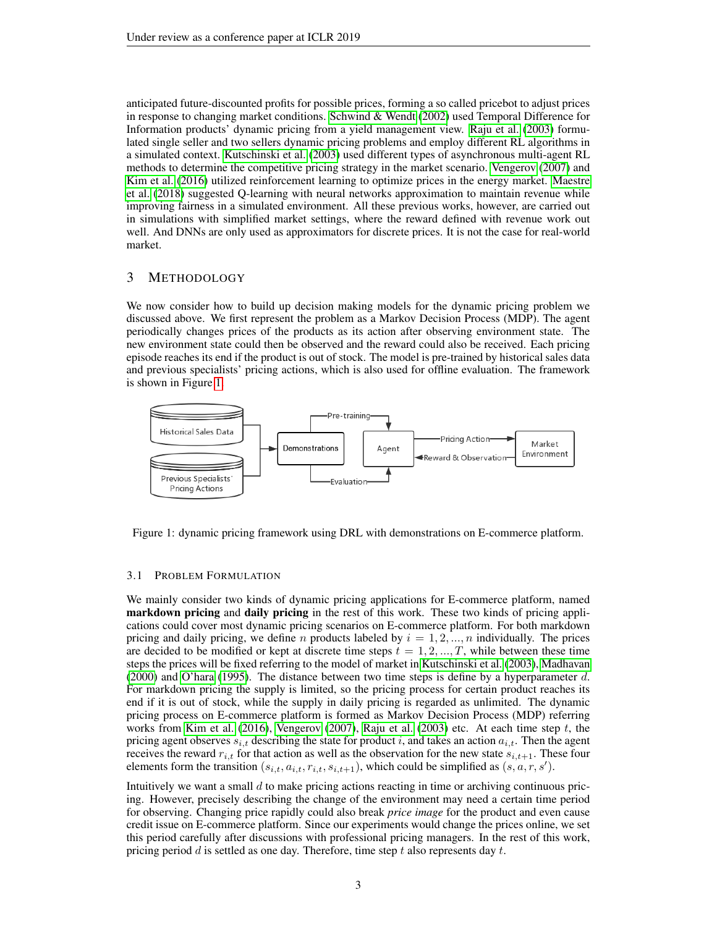anticipated future-discounted profits for possible prices, forming a so called pricebot to adjust prices in response to changing market conditions. [Schwind & Wendt](#page-10-3) [\(2002\)](#page-10-3) used Temporal Difference for Information products' dynamic pricing from a yield management view. [Raju et al.](#page-10-9) [\(2003\)](#page-10-9) formulated single seller and two sellers dynamic pricing problems and employ different RL algorithms in a simulated context. [Kutschinski et al.](#page-10-10) [\(2003\)](#page-10-10) used different types of asynchronous multi-agent RL methods to determine the competitive pricing strategy in the market scenario. [Vengerov](#page-11-3) [\(2007\)](#page-11-3) and [Kim et al.](#page-10-2) [\(2016\)](#page-10-2) utilized reinforcement learning to optimize prices in the energy market. [Maestre](#page-10-1) [et al.](#page-10-1) [\(2018\)](#page-10-1) suggested Q-learning with neural networks approximation to maintain revenue while improving fairness in a simulated environment. All these previous works, however, are carried out in simulations with simplified market settings, where the reward defined with revenue work out well. And DNNs are only used as approximators for discrete prices. It is not the case for real-world market.

# <span id="page-2-0"></span>3 METHODOLOGY

We now consider how to build up decision making models for the dynamic pricing problem we discussed above. We first represent the problem as a Markov Decision Process (MDP). The agent periodically changes prices of the products as its action after observing environment state. The new environment state could then be observed and the reward could also be received. Each pricing episode reaches its end if the product is out of stock. The model is pre-trained by historical sales data and previous specialists' pricing actions, which is also used for offline evaluation. The framework is shown in Figure [1.](#page-2-1)



<span id="page-2-1"></span>Figure 1: dynamic pricing framework using DRL with demonstrations on E-commerce platform.

### 3.1 PROBLEM FORMULATION

We mainly consider two kinds of dynamic pricing applications for E-commerce platform, named markdown pricing and daily pricing in the rest of this work. These two kinds of pricing applications could cover most dynamic pricing scenarios on E-commerce platform. For both markdown pricing and daily pricing, we define n products labeled by  $i = 1, 2, ..., n$  individually. The prices are decided to be modified or kept at discrete time steps  $t = 1, 2, ..., T$ , while between these time steps the prices will be fixed referring to the model of market in [Kutschinski et al.](#page-10-10) [\(2003\)](#page-10-10), [Madhavan](#page-10-11) [\(2000\)](#page-10-11) and [O'hara](#page-10-12) [\(1995\)](#page-10-12). The distance between two time steps is define by a hyperparameter  $d$ . For markdown pricing the supply is limited, so the pricing process for certain product reaches its end if it is out of stock, while the supply in daily pricing is regarded as unlimited. The dynamic pricing process on E-commerce platform is formed as Markov Decision Process (MDP) referring works from [Kim et al.](#page-10-2) [\(2016\)](#page-10-2), [Vengerov](#page-11-3) [\(2007\)](#page-11-3), [Raju et al.](#page-10-9) [\(2003\)](#page-10-9) etc. At each time step  $t$ , the pricing agent observes  $s_{i,t}$  describing the state for product i, and takes an action  $a_{i,t}$ . Then the agent receives the reward  $r_{i,t}$  for that action as well as the observation for the new state  $s_{i,t+1}$ . These four elements form the transition  $(s_{i,t}, a_{i,t}, r_{i,t}, s_{i,t+1})$ , which could be simplified as  $(s, a, r, s')$ .

Intuitively we want a small  $d$  to make pricing actions reacting in time or archiving continuous pricing. However, precisely describing the change of the environment may need a certain time period for observing. Changing price rapidly could also break *price image* for the product and even cause credit issue on E-commerce platform. Since our experiments would change the prices online, we set this period carefully after discussions with professional pricing managers. In the rest of this work, pricing period  $d$  is settled as one day. Therefore, time step  $t$  also represents day  $t$ .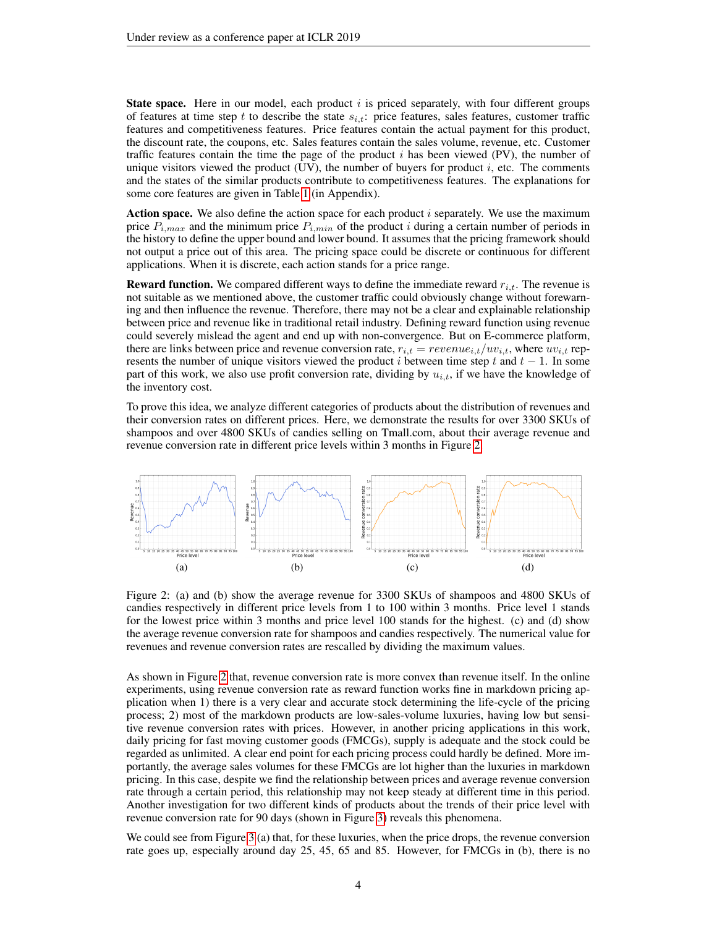**State space.** Here in our model, each product  $i$  is priced separately, with four different groups of features at time step t to describe the state  $s_{i,t}$ : price features, sales features, customer traffic features and competitiveness features. Price features contain the actual payment for this product, the discount rate, the coupons, etc. Sales features contain the sales volume, revenue, etc. Customer traffic features contain the time the page of the product  $i$  has been viewed (PV), the number of unique visitors viewed the product  $(UV)$ , the number of buyers for product  $i$ , etc. The comments and the states of the similar products contribute to competitiveness features. The explanations for some core features are given in Table [1](#page-13-0) (in Appendix).

Action space. We also define the action space for each product  $i$  separately. We use the maximum price  $P_{i,max}$  and the minimum price  $P_{i,min}$  of the product i during a certain number of periods in the history to define the upper bound and lower bound. It assumes that the pricing framework should not output a price out of this area. The pricing space could be discrete or continuous for different applications. When it is discrete, each action stands for a price range.

**Reward function.** We compared different ways to define the immediate reward  $r_{i,t}$ . The revenue is not suitable as we mentioned above, the customer traffic could obviously change without forewarning and then influence the revenue. Therefore, there may not be a clear and explainable relationship between price and revenue like in traditional retail industry. Defining reward function using revenue could severely mislead the agent and end up with non-convergence. But on E-commerce platform, there are links between price and revenue conversion rate,  $r_{i,t} = revenue_{i,t}/uv_{i,t}$ , where  $uv_{i,t}$  represents the number of unique visitors viewed the product i between time step t and  $t - 1$ . In some part of this work, we also use profit conversion rate, dividing by  $u_{i,t}$ , if we have the knowledge of the inventory cost.

To prove this idea, we analyze different categories of products about the distribution of revenues and their conversion rates on different prices. Here, we demonstrate the results for over 3300 SKUs of shampoos and over 4800 SKUs of candies selling on Tmall.com, about their average revenue and revenue conversion rate in different price levels within 3 months in Figure [2.](#page-3-0)



<span id="page-3-0"></span>Figure 2: (a) and (b) show the average revenue for 3300 SKUs of shampoos and 4800 SKUs of candies respectively in different price levels from 1 to 100 within 3 months. Price level 1 stands for the lowest price within 3 months and price level 100 stands for the highest. (c) and (d) show the average revenue conversion rate for shampoos and candies respectively. The numerical value for revenues and revenue conversion rates are rescalled by dividing the maximum values.

As shown in Figure [2](#page-3-0) that, revenue conversion rate is more convex than revenue itself. In the online experiments, using revenue conversion rate as reward function works fine in markdown pricing application when 1) there is a very clear and accurate stock determining the life-cycle of the pricing process; 2) most of the markdown products are low-sales-volume luxuries, having low but sensitive revenue conversion rates with prices. However, in another pricing applications in this work, daily pricing for fast moving customer goods (FMCGs), supply is adequate and the stock could be regarded as unlimited. A clear end point for each pricing process could hardly be defined. More importantly, the average sales volumes for these FMCGs are lot higher than the luxuries in markdown pricing. In this case, despite we find the relationship between prices and average revenue conversion rate through a certain period, this relationship may not keep steady at different time in this period. Another investigation for two different kinds of products about the trends of their price level with revenue conversion rate for 90 days (shown in Figure [3\)](#page-4-0) reveals this phenomena.

We could see from Figure [3](#page-4-0) (a) that, for these luxuries, when the price drops, the revenue conversion rate goes up, especially around day 25, 45, 65 and 85. However, for FMCGs in (b), there is no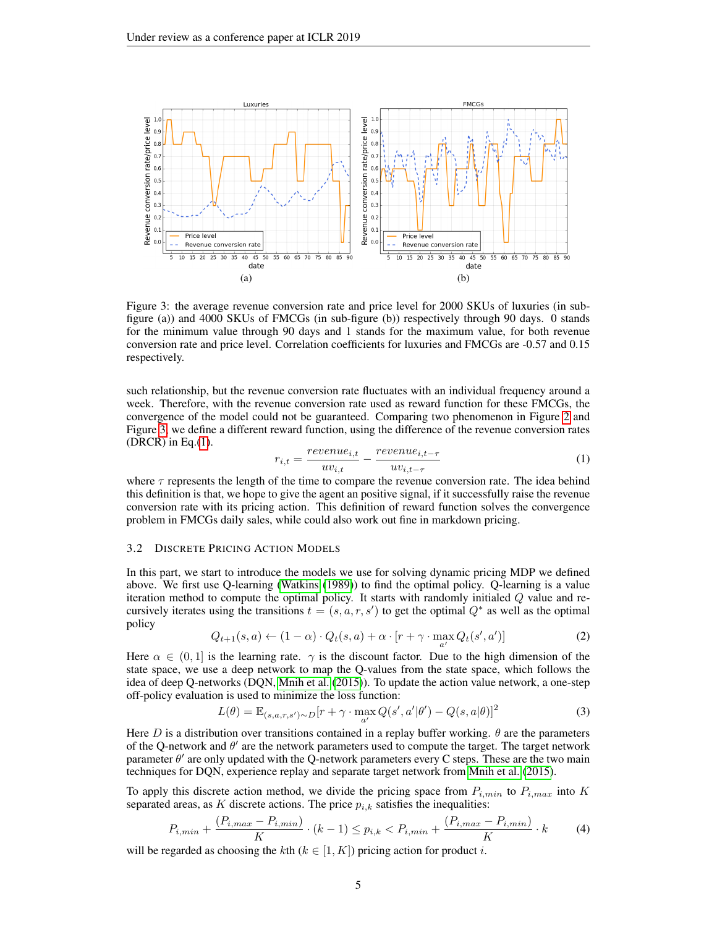

Figure 3: the average revenue conversion rate and price level for 2000 SKUs of luxuries (in subfigure (a)) and 4000 SKUs of FMCGs (in sub-figure (b)) respectively through 90 days. 0 stands for the minimum value through 90 days and 1 stands for the maximum value, for both revenue conversion rate and price level. Correlation coefficients for luxuries and FMCGs are -0.57 and 0.15 respectively.

such relationship, but the revenue conversion rate fluctuates with an individual frequency around a week. Therefore, with the revenue conversion rate used as reward function for these FMCGs, the convergence of the model could not be guaranteed. Comparing two phenomenon in Figure [2](#page-3-0) and Figure [3,](#page-4-0) we define a different reward function, using the difference of the revenue conversion rates (DRCR) in Eq. $(1)$ .

<span id="page-4-1"></span><span id="page-4-0"></span>
$$
r_{i,t} = \frac{revenue_{i,t}}{uv_{i,t}} - \frac{revenue_{i,t-\tau}}{uv_{i,t-\tau}} \tag{1}
$$

where  $\tau$  represents the length of the time to compare the revenue conversion rate. The idea behind this definition is that, we hope to give the agent an positive signal, if it successfully raise the revenue conversion rate with its pricing action. This definition of reward function solves the convergence problem in FMCGs daily sales, while could also work out fine in markdown pricing.

### 3.2 DISCRETE PRICING ACTION MODELS

In this part, we start to introduce the models we use for solving dynamic pricing MDP we defined above. We first use Q-learning [\(Watkins](#page-11-4) [\(1989\)](#page-11-4)) to find the optimal policy. Q-learning is a value iteration method to compute the optimal policy. It starts with randomly initialed Q value and recursively iterates using the transitions  $t = (s, a, r, s')$  to get the optimal  $Q^*$  as well as the optimal policy

<span id="page-4-2"></span>
$$
Q_{t+1}(s,a) \leftarrow (1-\alpha) \cdot Q_t(s,a) + \alpha \cdot [r + \gamma \cdot \max_{a'} Q_t(s',a')]
$$
 (2)

Here  $\alpha \in (0,1]$  is the learning rate.  $\gamma$  is the discount factor. Due to the high dimension of the state space, we use a deep network to map the Q-values from the state space, which follows the idea of deep Q-networks (DQN, [Mnih et al.](#page-10-13) [\(2015\)](#page-10-13)). To update the action value network, a one-step off-policy evaluation is used to minimize the loss function:

$$
L(\theta) = \mathbb{E}_{(s,a,r,s') \sim D} [r + \gamma \cdot \max_{a'} Q(s',a'|\theta') - Q(s,a|\theta)]^2
$$
\n(3)

Here D is a distribution over transitions contained in a replay buffer working.  $\theta$  are the parameters of the Q-network and  $\theta'$  are the network parameters used to compute the target. The target network parameter  $\theta'$  are only updated with the Q-network parameters every C steps. These are the two main techniques for DQN, experience replay and separate target network from [Mnih et al.](#page-10-13) [\(2015\)](#page-10-13).

To apply this discrete action method, we divide the pricing space from  $P_{i,min}$  to  $P_{i,max}$  into K separated areas, as K discrete actions. The price  $p_{i,k}$  satisfies the inequalities:

$$
P_{i,min} + \frac{(P_{i,max} - P_{i,min})}{K} \cdot (k-1) \le p_{i,k} < P_{i,min} + \frac{(P_{i,max} - P_{i,min})}{K} \cdot k \tag{4}
$$

will be regarded as choosing the kth ( $k \in [1, K]$ ) pricing action for product i.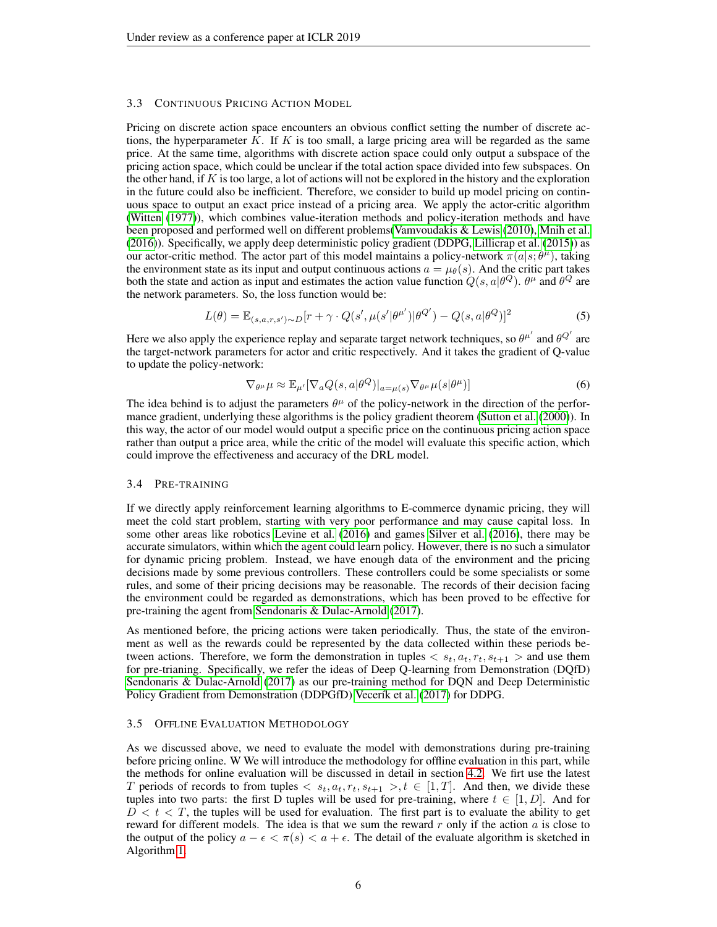### 3.3 CONTINUOUS PRICING ACTION MODEL

Pricing on discrete action space encounters an obvious conflict setting the number of discrete actions, the hyperparameter  $K$ . If  $K$  is too small, a large pricing area will be regarded as the same price. At the same time, algorithms with discrete action space could only output a subspace of the pricing action space, which could be unclear if the total action space divided into few subspaces. On the other hand, if K is too large, a lot of actions will not be explored in the history and the exploration in the future could also be inefficient. Therefore, we consider to build up model pricing on continuous space to output an exact price instead of a pricing area. We apply the actor-critic algorithm [\(Witten](#page-11-5) [\(1977\)](#page-11-5)), which combines value-iteration methods and policy-iteration methods and have been proposed and performed well on different problems[\(Vamvoudakis & Lewis](#page-11-6) [\(2010\)](#page-11-6), [Mnih et al.](#page-10-14) [\(2016\)](#page-10-14)). Specifically, we apply deep deterministic policy gradient (DDPG, [Lillicrap et al.](#page-10-15) [\(2015\)](#page-10-15)) as our actor-critic method. The actor part of this model maintains a policy-network  $\pi(a|s; \theta^{\mu})$ , taking the environment state as its input and output continuous actions  $a = \mu_{\theta}(s)$ . And the critic part takes both the state and action as input and estimates the action value function  $Q(s, a|\theta^Q)$ .  $\theta^{\mu}$  and  $\theta^Q$  are the network parameters. So, the loss function would be:

$$
L(\theta) = \mathbb{E}_{(s,a,r,s') \sim D} [r + \gamma \cdot Q(s', \mu(s'|\theta^{\mu'})|\theta^{Q'}) - Q(s, a|\theta^{Q})]^2
$$
\n
$$
(5)
$$

Here we also apply the experience replay and separate target network techniques, so  $\theta^{\mu'}$  and  $\theta^{Q'}$  are the target-network parameters for actor and critic respectively. And it takes the gradient of Q-value to update the policy-network:

$$
\nabla_{\theta^{\mu}} \mu \approx \mathbb{E}_{\mu'} [\nabla_a Q(s, a | \theta^Q)|_{a = \mu(s)} \nabla_{\theta^{\mu}} \mu(s | \theta^{\mu})]
$$
(6)

The idea behind is to adjust the parameters  $\theta^{\mu}$  of the policy-network in the direction of the performance gradient, underlying these algorithms is the policy gradient theorem [\(Sutton et al.](#page-11-7) [\(2000\)](#page-11-7)). In this way, the actor of our model would output a specific price on the continuous pricing action space rather than output a price area, while the critic of the model will evaluate this specific action, which could improve the effectiveness and accuracy of the DRL model.

#### 3.4 PRE-TRAINING

If we directly apply reinforcement learning algorithms to E-commerce dynamic pricing, they will meet the cold start problem, starting with very poor performance and may cause capital loss. In some other areas like robotics [Levine et al.](#page-10-16) [\(2016\)](#page-10-16) and games [Silver et al.](#page-11-8) [\(2016\)](#page-11-8), there may be accurate simulators, within which the agent could learn policy. However, there is no such a simulator for dynamic pricing problem. Instead, we have enough data of the environment and the pricing decisions made by some previous controllers. These controllers could be some specialists or some rules, and some of their pricing decisions may be reasonable. The records of their decision facing the environment could be regarded as demonstrations, which has been proved to be effective for pre-training the agent from [Sendonaris & Dulac-Arnold](#page-11-9) [\(2017\)](#page-11-9).

As mentioned before, the pricing actions were taken periodically. Thus, the state of the environment as well as the rewards could be represented by the data collected within these periods between actions. Therefore, we form the demonstration in tuples  $\langle s_t, a_t, r_t, s_{t+1} \rangle$  and use them for pre-trianing. Specifically, we refer the ideas of Deep Q-learning from Demonstration (DQfD) [Sendonaris & Dulac-Arnold](#page-11-9) [\(2017\)](#page-11-9) as our pre-training method for DQN and Deep Deterministic Policy Gradient from Demonstration (DDPGfD) Vecerík et al. [\(2017\)](#page-11-10) for DDPG.

### <span id="page-5-0"></span>3.5 OFFLINE EVALUATION METHODOLOGY

As we discussed above, we need to evaluate the model with demonstrations during pre-training before pricing online. W We will introduce the methodology for offline evaluation in this part, while the methods for online evaluation will be discussed in detail in section [4.2.](#page-6-1) We firt use the latest T periods of records to from tuples  $\langle s_t, a_t, r_t, s_{t+1} \rangle, t \in [1, T]$ . And then, we divide these tuples into two parts: the first D tuples will be used for pre-training, where  $t \in [1, D]$ . And for  $D < t < T$ , the tuples will be used for evaluation. The first part is to evaluate the ability to get reward for different models. The idea is that we sum the reward  $r$  only if the action  $a$  is close to the output of the policy  $a - \epsilon < \pi(s) < a + \epsilon$ . The detail of the evaluate algorithm is sketched in Algorithm [1.](#page-6-2)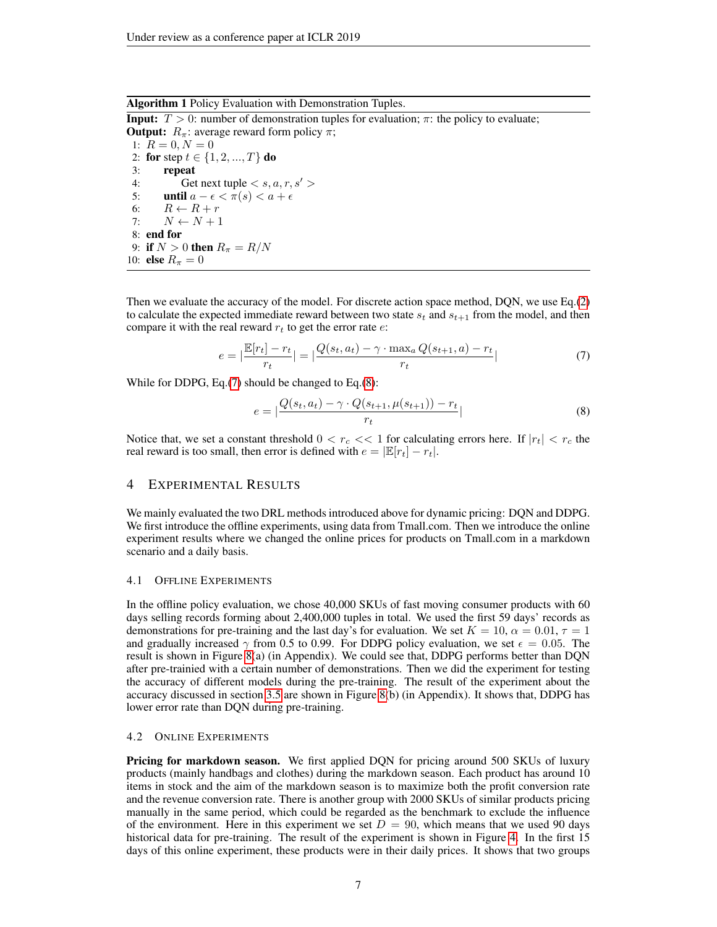Algorithm 1 Policy Evaluation with Demonstration Tuples.

<span id="page-6-2"></span>**Input:**  $T > 0$ : number of demonstration tuples for evaluation;  $\pi$ : the policy to evaluate; **Output:**  $R_{\pi}$ : average reward form policy  $\pi$ ; 1:  $R = 0, N = 0$ 2: for step  $t \in \{1, 2, ..., T\}$  do 3: repeat 4: Get next tuple  $\langle s, a, r, s' \rangle$ 5: until  $a - \epsilon < \pi(s) < a + \epsilon$ 6:  $R \leftarrow R + r$ 7:  $N \leftarrow N + 1$ 8: end for 9: if  $N > 0$  then  $R_{\pi} = R/N$ 10: **else**  $R_{\pi} = 0$ 

Then we evaluate the accuracy of the model. For discrete action space method, DQN, we use Eq.[\(2\)](#page-4-2) to calculate the expected immediate reward between two state  $s_t$  and  $s_{t+1}$  from the model, and then compare it with the real reward  $r_t$  to get the error rate  $e$ :

<span id="page-6-3"></span>
$$
e = \left| \frac{\mathbb{E}[r_t] - r_t}{r_t} \right| = \left| \frac{Q(s_t, a_t) - \gamma \cdot \max_a Q(s_{t+1}, a) - r_t}{r_t} \right| \tag{7}
$$

While for DDPG, Eq.[\(7\)](#page-6-3) should be changed to Eq.[\(8\)](#page-6-4):

<span id="page-6-4"></span>
$$
e = \left| \frac{Q(s_t, a_t) - \gamma \cdot Q(s_{t+1}, \mu(s_{t+1})) - r_t}{r_t} \right| \tag{8}
$$

Notice that, we set a constant threshold  $0 < r_c \ll 1$  for calculating errors here. If  $|r_t| < r_c$  the real reward is too small, then error is defined with  $e = |\mathbb{E}[r_t] - r_t|$ .

### <span id="page-6-0"></span>4 EXPERIMENTAL RESULTS

We mainly evaluated the two DRL methods introduced above for dynamic pricing: DQN and DDPG. We first introduce the offline experiments, using data from Tmall.com. Then we introduce the online experiment results where we changed the online prices for products on Tmall.com in a markdown scenario and a daily basis.

### <span id="page-6-5"></span>4.1 OFFLINE EXPERIMENTS

In the offline policy evaluation, we chose 40,000 SKUs of fast moving consumer products with 60 days selling records forming about 2,400,000 tuples in total. We used the first 59 days' records as demonstrations for pre-training and the last day's for evaluation. We set  $K = 10$ ,  $\alpha = 0.01$ ,  $\tau = 1$ and gradually increased  $\gamma$  from 0.5 to 0.99. For DDPG policy evaluation, we set  $\epsilon = 0.05$ . The result is shown in Figure [8\(](#page-12-0)a) (in Appendix). We could see that, DDPG performs better than DQN after pre-trainied with a certain number of demonstrations. Then we did the experiment for testing the accuracy of different models during the pre-training. The result of the experiment about the accuracy discussed in section [3.5](#page-5-0) are shown in Figure [8\(](#page-12-0)b) (in Appendix). It shows that, DDPG has lower error rate than DQN during pre-training.

### <span id="page-6-1"></span>4.2 ONLINE EXPERIMENTS

Pricing for markdown season. We first applied DQN for pricing around 500 SKUs of luxury products (mainly handbags and clothes) during the markdown season. Each product has around 10 items in stock and the aim of the markdown season is to maximize both the profit conversion rate and the revenue conversion rate. There is another group with 2000 SKUs of similar products pricing manually in the same period, which could be regarded as the benchmark to exclude the influence of the environment. Here in this experiment we set  $D = 90$ , which means that we used 90 days historical data for pre-training. The result of the experiment is shown in Figure [4.](#page-7-0) In the first 15 days of this online experiment, these products were in their daily prices. It shows that two groups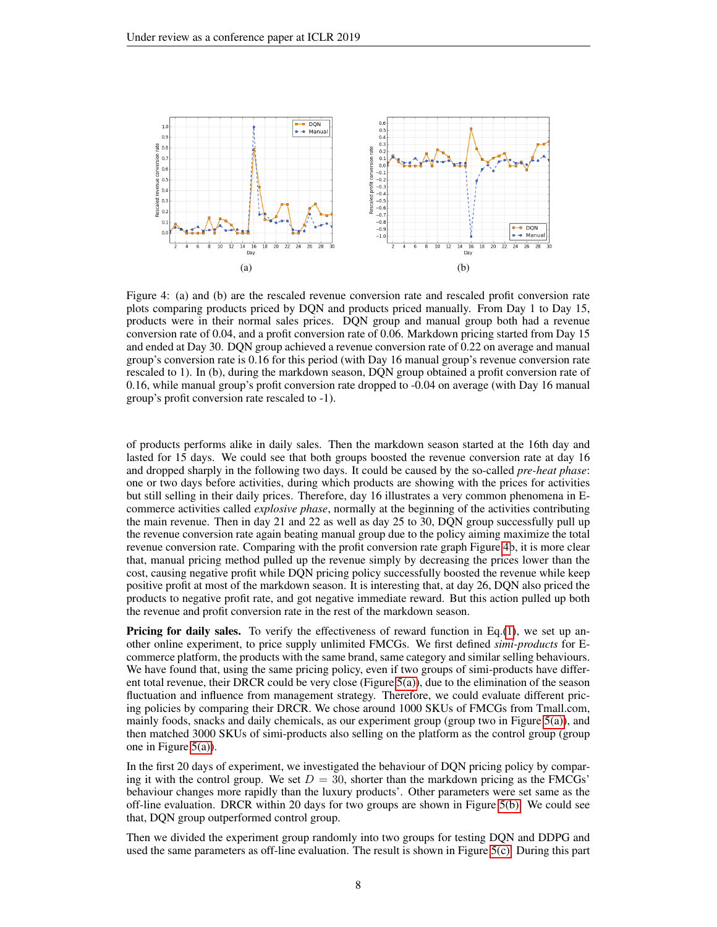

<span id="page-7-0"></span>Figure 4: (a) and (b) are the rescaled revenue conversion rate and rescaled profit conversion rate plots comparing products priced by DQN and products priced manually. From Day 1 to Day 15, products were in their normal sales prices. DQN group and manual group both had a revenue conversion rate of 0.04, and a profit conversion rate of 0.06. Markdown pricing started from Day 15 and ended at Day 30. DQN group achieved a revenue conversion rate of 0.22 on average and manual group's conversion rate is 0.16 for this period (with Day 16 manual group's revenue conversion rate rescaled to 1). In (b), during the markdown season, DQN group obtained a profit conversion rate of 0.16, while manual group's profit conversion rate dropped to -0.04 on average (with Day 16 manual group's profit conversion rate rescaled to -1).

of products performs alike in daily sales. Then the markdown season started at the 16th day and lasted for 15 days. We could see that both groups boosted the revenue conversion rate at day 16 and dropped sharply in the following two days. It could be caused by the so-called *pre-heat phase*: one or two days before activities, during which products are showing with the prices for activities but still selling in their daily prices. Therefore, day 16 illustrates a very common phenomena in Ecommerce activities called *explosive phase*, normally at the beginning of the activities contributing the main revenue. Then in day 21 and 22 as well as day 25 to 30, DQN group successfully pull up the revenue conversion rate again beating manual group due to the policy aiming maximize the total revenue conversion rate. Comparing with the profit conversion rate graph Figure [4b](#page-7-0), it is more clear that, manual pricing method pulled up the revenue simply by decreasing the prices lower than the cost, causing negative profit while DQN pricing policy successfully boosted the revenue while keep positive profit at most of the markdown season. It is interesting that, at day 26, DQN also priced the products to negative profit rate, and got negative immediate reward. But this action pulled up both the revenue and profit conversion rate in the rest of the markdown season.

**Pricing for daily sales.** To verify the effectiveness of reward function in Eq.[\(1\)](#page-4-1), we set up another online experiment, to price supply unlimited FMCGs. We first defined *simi-products* for Ecommerce platform, the products with the same brand, same category and similar selling behaviours. We have found that, using the same pricing policy, even if two groups of simi-products have different total revenue, their DRCR could be very close (Figure [5\(a\)\)](#page-8-1), due to the elimination of the season fluctuation and influence from management strategy. Therefore, we could evaluate different pricing policies by comparing their DRCR. We chose around 1000 SKUs of FMCGs from Tmall.com, mainly foods, snacks and daily chemicals, as our experiment group (group two in Figure [5\(a\)\)](#page-8-1), and then matched 3000 SKUs of simi-products also selling on the platform as the control group (group one in Figure [5\(a\)\)](#page-8-1).

In the first 20 days of experiment, we investigated the behaviour of DQN pricing policy by comparing it with the control group. We set  $D = 30$ , shorter than the markdown pricing as the FMCGs' behaviour changes more rapidly than the luxury products'. Other parameters were set same as the off-line evaluation. DRCR within 20 days for two groups are shown in Figure [5\(b\).](#page-8-2) We could see that, DQN group outperformed control group.

Then we divided the experiment group randomly into two groups for testing DQN and DDPG and used the same parameters as off-line evaluation. The result is shown in Figure [5\(c\).](#page-8-3) During this part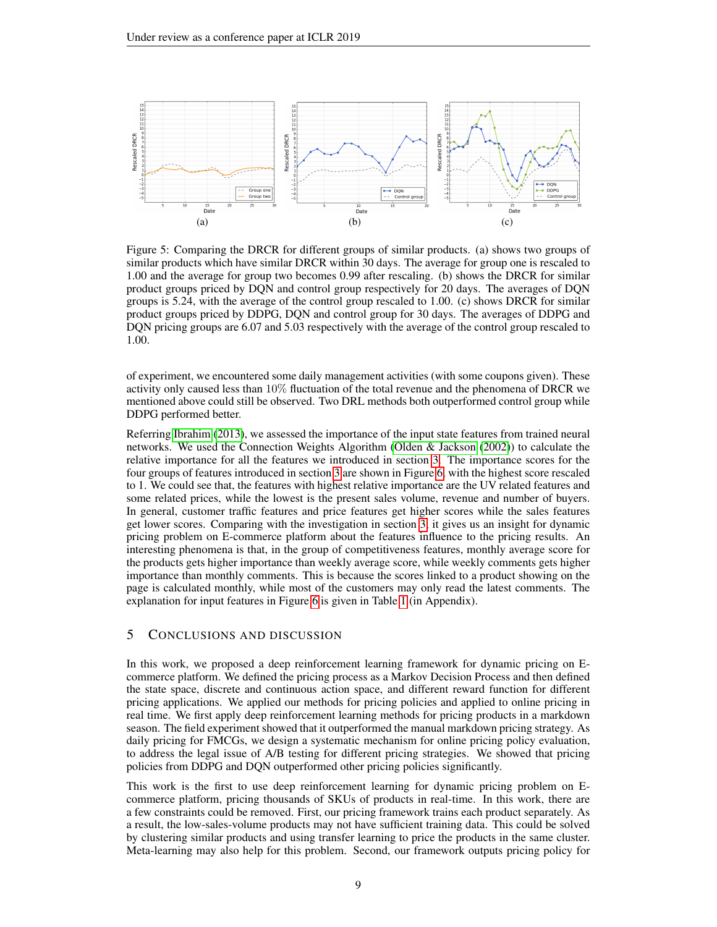<span id="page-8-1"></span>

<span id="page-8-3"></span><span id="page-8-2"></span>Figure 5: Comparing the DRCR for different groups of similar products. (a) shows two groups of similar products which have similar DRCR within 30 days. The average for group one is rescaled to 1.00 and the average for group two becomes 0.99 after rescaling. (b) shows the DRCR for similar product groups priced by DQN and control group respectively for 20 days. The averages of DQN groups is 5.24, with the average of the control group rescaled to 1.00. (c) shows DRCR for similar product groups priced by DDPG, DQN and control group for 30 days. The averages of DDPG and DQN pricing groups are 6.07 and 5.03 respectively with the average of the control group rescaled to 1.00.

of experiment, we encountered some daily management activities (with some coupons given). These activity only caused less than 10% fluctuation of the total revenue and the phenomena of DRCR we mentioned above could still be observed. Two DRL methods both outperformed control group while DDPG performed better.

Referring [Ibrahim](#page-10-17) [\(2013\)](#page-10-17), we assessed the importance of the input state features from trained neural networks. We used the Connection Weights Algorithm [\(Olden & Jackson](#page-10-18) [\(2002\)](#page-10-18)) to calculate the relative importance for all the features we introduced in section [3.](#page-2-0) The importance scores for the four groups of features introduced in section [3](#page-2-0) are shown in Figure [6,](#page-9-9) with the highest score rescaled to 1. We could see that, the features with highest relative importance are the UV related features and some related prices, while the lowest is the present sales volume, revenue and number of buyers. In general, customer traffic features and price features get higher scores while the sales features get lower scores. Comparing with the investigation in section [3,](#page-2-0) it gives us an insight for dynamic pricing problem on E-commerce platform about the features influence to the pricing results. An interesting phenomena is that, in the group of competitiveness features, monthly average score for the products gets higher importance than weekly average score, while weekly comments gets higher importance than monthly comments. This is because the scores linked to a product showing on the page is calculated monthly, while most of the customers may only read the latest comments. The explanation for input features in Figure [6](#page-9-9) is given in Table [1](#page-13-0) (in Appendix).

# <span id="page-8-0"></span>5 CONCLUSIONS AND DISCUSSION

In this work, we proposed a deep reinforcement learning framework for dynamic pricing on Ecommerce platform. We defined the pricing process as a Markov Decision Process and then defined the state space, discrete and continuous action space, and different reward function for different pricing applications. We applied our methods for pricing policies and applied to online pricing in real time. We first apply deep reinforcement learning methods for pricing products in a markdown season. The field experiment showed that it outperformed the manual markdown pricing strategy. As daily pricing for FMCGs, we design a systematic mechanism for online pricing policy evaluation, to address the legal issue of A/B testing for different pricing strategies. We showed that pricing policies from DDPG and DQN outperformed other pricing policies significantly.

This work is the first to use deep reinforcement learning for dynamic pricing problem on Ecommerce platform, pricing thousands of SKUs of products in real-time. In this work, there are a few constraints could be removed. First, our pricing framework trains each product separately. As a result, the low-sales-volume products may not have sufficient training data. This could be solved by clustering similar products and using transfer learning to price the products in the same cluster. Meta-learning may also help for this problem. Second, our framework outputs pricing policy for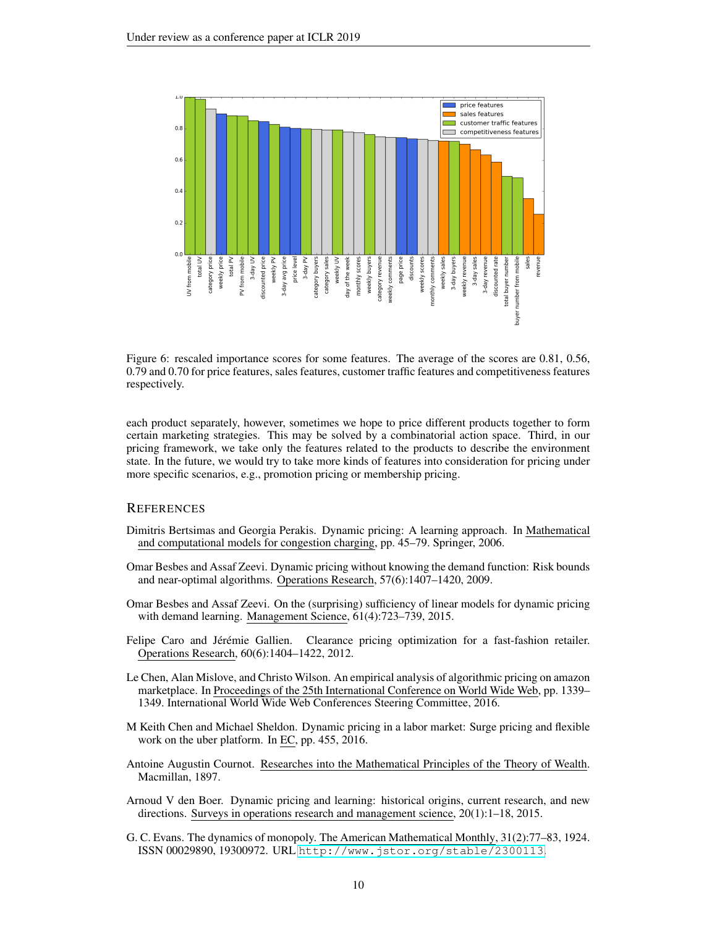

<span id="page-9-9"></span>Figure 6: rescaled importance scores for some features. The average of the scores are 0.81, 0.56, 0.79 and 0.70 for price features, sales features, customer traffic features and competitiveness features respectively.

each product separately, however, sometimes we hope to price different products together to form certain marketing strategies. This may be solved by a combinatorial action space. Third, in our pricing framework, we take only the features related to the products to describe the environment state. In the future, we would try to take more kinds of features into consideration for pricing under more specific scenarios, e.g., promotion pricing or membership pricing.

# **REFERENCES**

- <span id="page-9-6"></span>Dimitris Bertsimas and Georgia Perakis. Dynamic pricing: A learning approach. In Mathematical and computational models for congestion charging, pp. 45–79. Springer, 2006.
- <span id="page-9-7"></span>Omar Besbes and Assaf Zeevi. Dynamic pricing without knowing the demand function: Risk bounds and near-optimal algorithms. Operations Research, 57(6):1407–1420, 2009.
- <span id="page-9-8"></span>Omar Besbes and Assaf Zeevi. On the (surprising) sufficiency of linear models for dynamic pricing with demand learning. Management Science, 61(4):723–739, 2015.
- <span id="page-9-1"></span>Felipe Caro and Jérémie Gallien. Clearance pricing optimization for a fast-fashion retailer. Operations Research, 60(6):1404–1422, 2012.
- <span id="page-9-2"></span>Le Chen, Alan Mislove, and Christo Wilson. An empirical analysis of algorithmic pricing on amazon marketplace. In Proceedings of the 25th International Conference on World Wide Web, pp. 1339– 1349. International World Wide Web Conferences Steering Committee, 2016.
- <span id="page-9-0"></span>M Keith Chen and Michael Sheldon. Dynamic pricing in a labor market: Surge pricing and flexible work on the uber platform. In EC, pp. 455, 2016.
- <span id="page-9-4"></span>Antoine Augustin Cournot. Researches into the Mathematical Principles of the Theory of Wealth. Macmillan, 1897.
- <span id="page-9-3"></span>Arnoud V den Boer. Dynamic pricing and learning: historical origins, current research, and new directions. Surveys in operations research and management science, 20(1):1–18, 2015.
- <span id="page-9-5"></span>G. C. Evans. The dynamics of monopoly. The American Mathematical Monthly, 31(2):77–83, 1924. ISSN 00029890, 19300972. URL <http://www.jstor.org/stable/2300113>.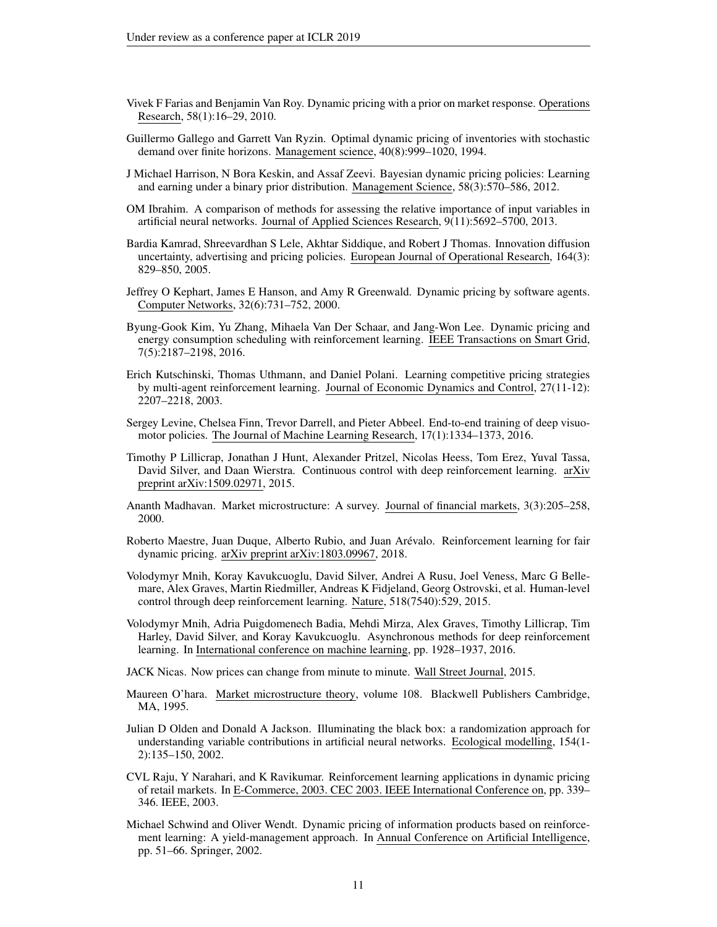- <span id="page-10-6"></span>Vivek F Farias and Benjamin Van Roy. Dynamic pricing with a prior on market response. Operations Research, 58(1):16–29, 2010.
- <span id="page-10-5"></span>Guillermo Gallego and Garrett Van Ryzin. Optimal dynamic pricing of inventories with stochastic demand over finite horizons. Management science, 40(8):999–1020, 1994.
- <span id="page-10-7"></span>J Michael Harrison, N Bora Keskin, and Assaf Zeevi. Bayesian dynamic pricing policies: Learning and earning under a binary prior distribution. Management Science, 58(3):570–586, 2012.
- <span id="page-10-17"></span>OM Ibrahim. A comparison of methods for assessing the relative importance of input variables in artificial neural networks. Journal of Applied Sciences Research, 9(11):5692–5700, 2013.
- <span id="page-10-4"></span>Bardia Kamrad, Shreevardhan S Lele, Akhtar Siddique, and Robert J Thomas. Innovation diffusion uncertainty, advertising and pricing policies. European Journal of Operational Research, 164(3): 829–850, 2005.
- <span id="page-10-8"></span>Jeffrey O Kephart, James E Hanson, and Amy R Greenwald. Dynamic pricing by software agents. Computer Networks, 32(6):731–752, 2000.
- <span id="page-10-2"></span>Byung-Gook Kim, Yu Zhang, Mihaela Van Der Schaar, and Jang-Won Lee. Dynamic pricing and energy consumption scheduling with reinforcement learning. IEEE Transactions on Smart Grid, 7(5):2187–2198, 2016.
- <span id="page-10-10"></span>Erich Kutschinski, Thomas Uthmann, and Daniel Polani. Learning competitive pricing strategies by multi-agent reinforcement learning. Journal of Economic Dynamics and Control, 27(11-12): 2207–2218, 2003.
- <span id="page-10-16"></span>Sergey Levine, Chelsea Finn, Trevor Darrell, and Pieter Abbeel. End-to-end training of deep visuomotor policies. The Journal of Machine Learning Research, 17(1):1334–1373, 2016.
- <span id="page-10-15"></span>Timothy P Lillicrap, Jonathan J Hunt, Alexander Pritzel, Nicolas Heess, Tom Erez, Yuval Tassa, David Silver, and Daan Wierstra. Continuous control with deep reinforcement learning. arXiv preprint arXiv:1509.02971, 2015.
- <span id="page-10-11"></span>Ananth Madhavan. Market microstructure: A survey. Journal of financial markets, 3(3):205–258, 2000.
- <span id="page-10-1"></span>Roberto Maestre, Juan Duque, Alberto Rubio, and Juan Arévalo. Reinforcement learning for fair dynamic pricing. arXiv preprint arXiv:1803.09967, 2018.
- <span id="page-10-13"></span>Volodymyr Mnih, Koray Kavukcuoglu, David Silver, Andrei A Rusu, Joel Veness, Marc G Bellemare, Alex Graves, Martin Riedmiller, Andreas K Fidjeland, Georg Ostrovski, et al. Human-level control through deep reinforcement learning. Nature, 518(7540):529, 2015.
- <span id="page-10-14"></span>Volodymyr Mnih, Adria Puigdomenech Badia, Mehdi Mirza, Alex Graves, Timothy Lillicrap, Tim Harley, David Silver, and Koray Kavukcuoglu. Asynchronous methods for deep reinforcement learning. In International conference on machine learning, pp. 1928–1937, 2016.
- <span id="page-10-0"></span>JACK Nicas. Now prices can change from minute to minute. Wall Street Journal, 2015.
- <span id="page-10-12"></span>Maureen O'hara. Market microstructure theory, volume 108. Blackwell Publishers Cambridge, MA, 1995.
- <span id="page-10-18"></span>Julian D Olden and Donald A Jackson. Illuminating the black box: a randomization approach for understanding variable contributions in artificial neural networks. Ecological modelling, 154(1- 2):135–150, 2002.
- <span id="page-10-9"></span>CVL Raju, Y Narahari, and K Ravikumar. Reinforcement learning applications in dynamic pricing of retail markets. In E-Commerce, 2003. CEC 2003. IEEE International Conference on, pp. 339– 346. IEEE, 2003.
- <span id="page-10-3"></span>Michael Schwind and Oliver Wendt. Dynamic pricing of information products based on reinforcement learning: A yield-management approach. In Annual Conference on Artificial Intelligence, pp. 51–66. Springer, 2002.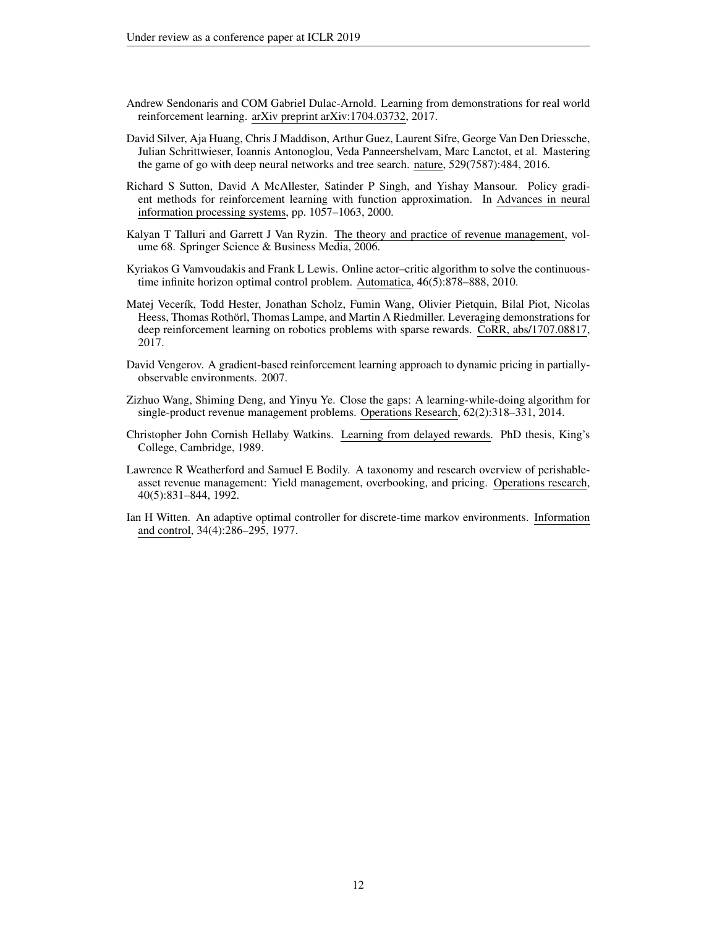- <span id="page-11-9"></span>Andrew Sendonaris and COM Gabriel Dulac-Arnold. Learning from demonstrations for real world reinforcement learning. arXiv preprint arXiv:1704.03732, 2017.
- <span id="page-11-8"></span>David Silver, Aja Huang, Chris J Maddison, Arthur Guez, Laurent Sifre, George Van Den Driessche, Julian Schrittwieser, Ioannis Antonoglou, Veda Panneershelvam, Marc Lanctot, et al. Mastering the game of go with deep neural networks and tree search. nature, 529(7587):484, 2016.
- <span id="page-11-7"></span>Richard S Sutton, David A McAllester, Satinder P Singh, and Yishay Mansour. Policy gradient methods for reinforcement learning with function approximation. In Advances in neural information processing systems, pp. 1057–1063, 2000.
- <span id="page-11-1"></span>Kalyan T Talluri and Garrett J Van Ryzin. The theory and practice of revenue management, volume 68. Springer Science & Business Media, 2006.
- <span id="page-11-6"></span>Kyriakos G Vamvoudakis and Frank L Lewis. Online actor–critic algorithm to solve the continuoustime infinite horizon optimal control problem. Automatica, 46(5):878–888, 2010.
- <span id="page-11-10"></span>Matej Vecerík, Todd Hester, Jonathan Scholz, Fumin Wang, Olivier Pietquin, Bilal Piot, Nicolas Heess, Thomas Rothorl, Thomas Lampe, and Martin A Riedmiller. Leveraging demonstrations for ¨ deep reinforcement learning on robotics problems with sparse rewards. CoRR, abs/1707.08817, 2017.
- <span id="page-11-3"></span>David Vengerov. A gradient-based reinforcement learning approach to dynamic pricing in partiallyobservable environments. 2007.
- <span id="page-11-2"></span>Zizhuo Wang, Shiming Deng, and Yinyu Ye. Close the gaps: A learning-while-doing algorithm for single-product revenue management problems. Operations Research, 62(2):318–331, 2014.
- <span id="page-11-4"></span>Christopher John Cornish Hellaby Watkins. Learning from delayed rewards. PhD thesis, King's College, Cambridge, 1989.
- <span id="page-11-0"></span>Lawrence R Weatherford and Samuel E Bodily. A taxonomy and research overview of perishableasset revenue management: Yield management, overbooking, and pricing. Operations research, 40(5):831–844, 1992.
- <span id="page-11-5"></span>Ian H Witten. An adaptive optimal controller for discrete-time markov environments. Information and control, 34(4):286–295, 1977.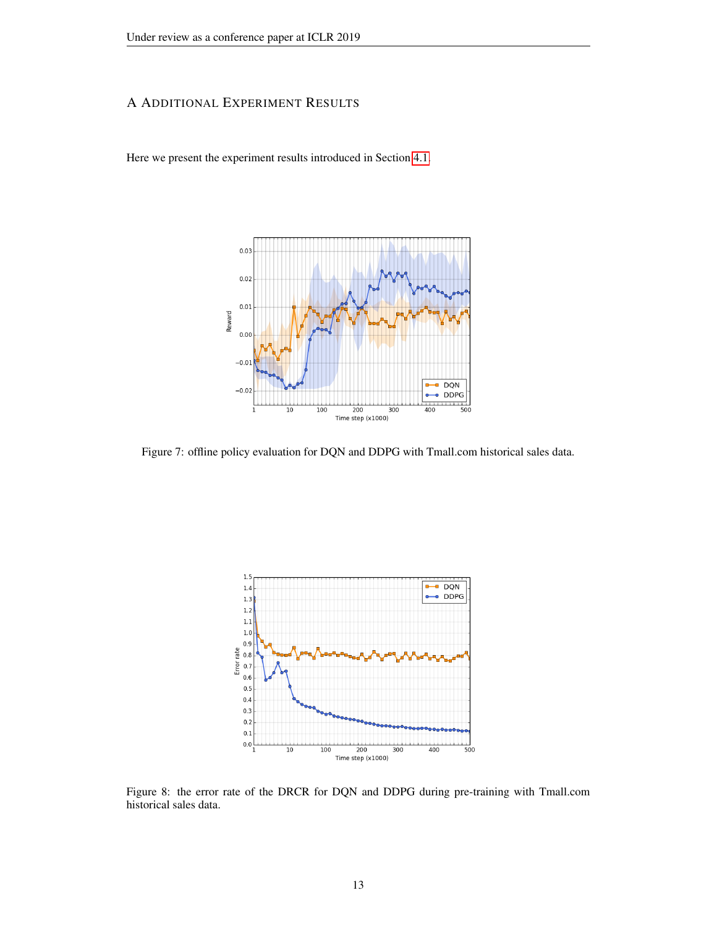# A ADDITIONAL EXPERIMENT RESULTS

Here we present the experiment results introduced in Section [4.1.](#page-6-5)



Figure 7: offline policy evaluation for DQN and DDPG with Tmall.com historical sales data.



<span id="page-12-0"></span>Figure 8: the error rate of the DRCR for DQN and DDPG during pre-training with Tmall.com historical sales data.